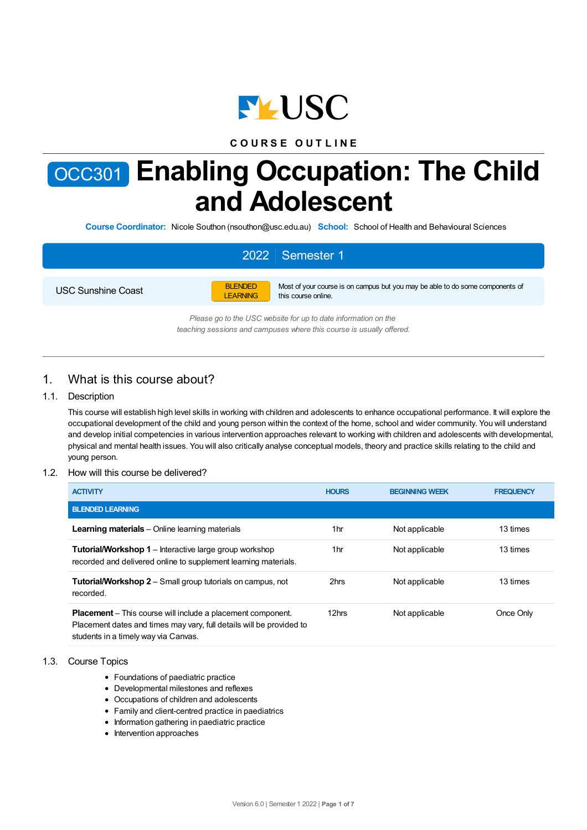

## **C O U R S E O U T L I N E**

# OCC301 **Enabling Occupation: The Child and Adolescent**

**Course Coordinator:** Nicole Southon (nsouthon@usc.edu.au) **School:** School of Health and Behavioural Sciences

# 2022 Semester 1

USC Sunshine Coast



Most of your course is on campus but you may be able to do some components of this course online.

*Please go to the USC website for up to date information on the teaching sessions and campuses where this course is usually offered.*

## 1. What is this course about?

#### 1.1. Description

This course will establish high level skills in working with children and adolescents to enhance occupational performance. It will explore the occupational development of the child and young person within the context of the home, school and wider community. You will understand and develop initial competencies in various intervention approaches relevant to working with children and adolescents with developmental, physical and mental health issues. You will also critically analyse conceptual models, theory and practice skills relating to the child and young person.

#### 1.2. How will this course be delivered?

| <b>ACTIVITY</b>                                                                                                                                                                    | <b>HOURS</b> | <b>BEGINNING WEEK</b> | <b>FREQUENCY</b> |
|------------------------------------------------------------------------------------------------------------------------------------------------------------------------------------|--------------|-----------------------|------------------|
| <b>BLENDED LEARNING</b>                                                                                                                                                            |              |                       |                  |
| <b>Learning materials</b> – Online learning materials                                                                                                                              | 1hr          | Not applicable        | 13 times         |
| <b>Tutorial/Workshop 1</b> – Interactive large group workshop<br>recorded and delivered online to supplement learning materials.                                                   | 1hr          | Not applicable        | 13 times         |
| <b>Tutorial/Workshop 2</b> – Small group tutorials on campus, not<br>recorded.                                                                                                     | 2hrs         | Not applicable        | 13 times         |
| <b>Placement</b> – This course will include a placement component.<br>Placement dates and times may vary, full details will be provided to<br>students in a timely way via Canvas. | 12hrs        | Not applicable        | Once Only        |

#### 1.3. Course Topics

- Foundations of paediatric practice
- Developmental milestones and reflexes
- Occupations of children and adolescents
- Family and client-centred practice in paediatrics
- Information gathering in paediatric practice
- Intervention approaches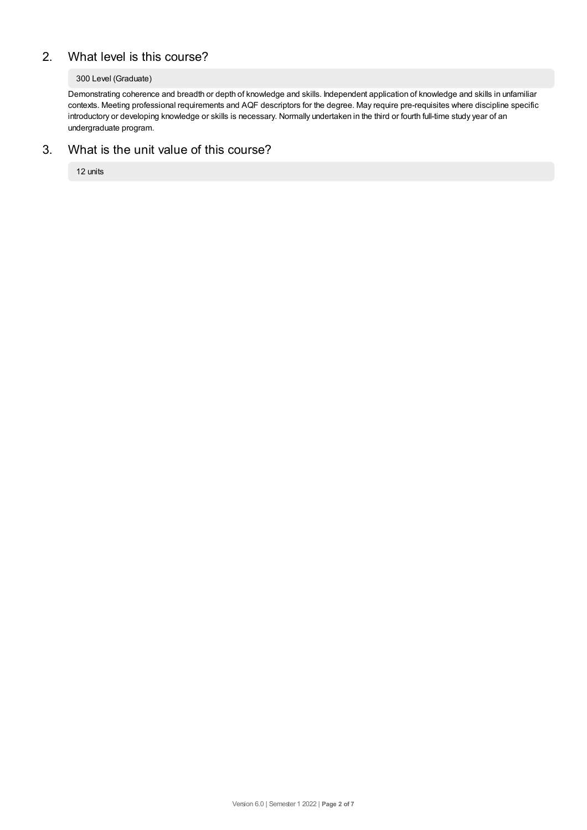# 2. What level is this course?

#### 300 Level (Graduate)

Demonstrating coherence and breadth or depth of knowledge and skills. Independent application of knowledge and skills in unfamiliar contexts. Meeting professional requirements and AQF descriptors for the degree. May require pre-requisites where discipline specific introductory or developing knowledge or skills is necessary. Normally undertaken in the third or fourth full-time study year of an undergraduate program.

## 3. What is the unit value of this course?

12 units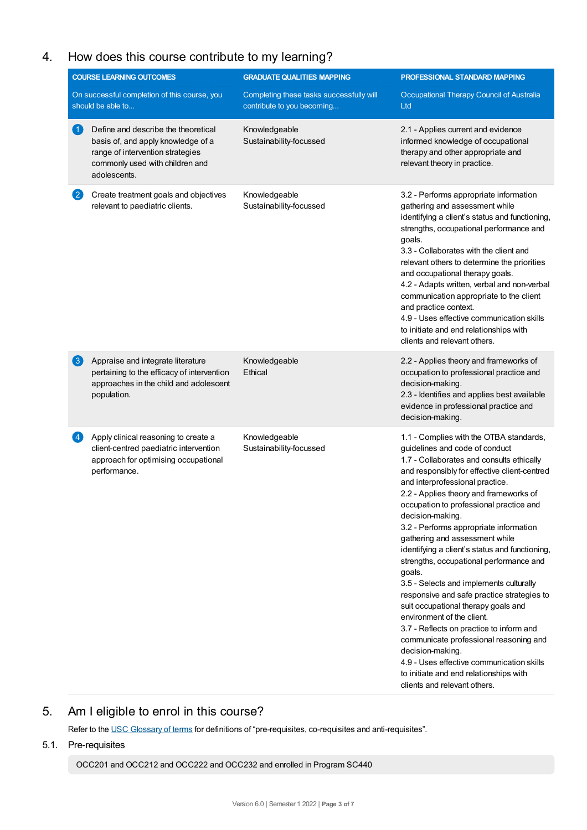# 4. How does this course contribute to my learning?

|                        | <b>COURSE LEARNING OUTCOMES</b>                                                                                                                                  | <b>GRADUATE QUALITIES MAPPING</b>                                      | PROFESSIONAL STANDARD MAPPING                                                                                                                                                                                                                                                                                                                                                                                                                                                                                                                                                                                                                                                                                                                                                                                                                                                                        |
|------------------------|------------------------------------------------------------------------------------------------------------------------------------------------------------------|------------------------------------------------------------------------|------------------------------------------------------------------------------------------------------------------------------------------------------------------------------------------------------------------------------------------------------------------------------------------------------------------------------------------------------------------------------------------------------------------------------------------------------------------------------------------------------------------------------------------------------------------------------------------------------------------------------------------------------------------------------------------------------------------------------------------------------------------------------------------------------------------------------------------------------------------------------------------------------|
|                        | On successful completion of this course, you<br>should be able to                                                                                                | Completing these tasks successfully will<br>contribute to you becoming | Occupational Therapy Council of Australia<br>Ltd                                                                                                                                                                                                                                                                                                                                                                                                                                                                                                                                                                                                                                                                                                                                                                                                                                                     |
| $\left  \cdot \right $ | Define and describe the theoretical<br>basis of, and apply knowledge of a<br>range of intervention strategies<br>commonly used with children and<br>adolescents. | Knowledgeable<br>Sustainability-focussed                               | 2.1 - Applies current and evidence<br>informed knowledge of occupational<br>therapy and other appropriate and<br>relevant theory in practice.                                                                                                                                                                                                                                                                                                                                                                                                                                                                                                                                                                                                                                                                                                                                                        |
| $\mathbf{2}$           | Create treatment goals and objectives<br>relevant to paediatric clients.                                                                                         | Knowledgeable<br>Sustainability-focussed                               | 3.2 - Performs appropriate information<br>gathering and assessment while<br>identifying a client's status and functioning,<br>strengths, occupational performance and<br>goals.<br>3.3 - Collaborates with the client and<br>relevant others to determine the priorities<br>and occupational therapy goals.<br>4.2 - Adapts written, verbal and non-verbal<br>communication appropriate to the client<br>and practice context.<br>4.9 - Uses effective communication skills<br>to initiate and end relationships with<br>clients and relevant others.                                                                                                                                                                                                                                                                                                                                                |
| 3                      | Appraise and integrate literature<br>pertaining to the efficacy of intervention<br>approaches in the child and adolescent<br>population.                         | Knowledgeable<br>Ethical                                               | 2.2 - Applies theory and frameworks of<br>occupation to professional practice and<br>decision-making.<br>2.3 - Identifies and applies best available<br>evidence in professional practice and<br>decision-making.                                                                                                                                                                                                                                                                                                                                                                                                                                                                                                                                                                                                                                                                                    |
| $\vert 4 \vert$        | Apply clinical reasoning to create a<br>client-centred paediatric intervention<br>approach for optimising occupational<br>performance.                           | Knowledgeable<br>Sustainability-focussed                               | 1.1 - Complies with the OTBA standards,<br>guidelines and code of conduct<br>1.7 - Collaborates and consults ethically<br>and responsibly for effective client-centred<br>and interprofessional practice.<br>2.2 - Applies theory and frameworks of<br>occupation to professional practice and<br>decision-making.<br>3.2 - Performs appropriate information<br>gathering and assessment while<br>identifying a client's status and functioning,<br>strengths, occupational performance and<br>goals.<br>3.5 - Selects and implements culturally<br>responsive and safe practice strategies to<br>suit occupational therapy goals and<br>environment of the client.<br>3.7 - Reflects on practice to inform and<br>communicate professional reasoning and<br>decision-making.<br>4.9 - Uses effective communication skills<br>to initiate and end relationships with<br>clients and relevant others. |

# 5. Am Ieligible to enrol in this course?

Refer to the USC [Glossary](https://www.usc.edu.au/about/policies-and-procedures/glossary-of-terms-for-policy-and-procedures) of terms for definitions of "pre-requisites, co-requisites and anti-requisites".

## 5.1. Pre-requisites

OCC201 and OCC212 and OCC222 and OCC232 and enrolled in Program SC440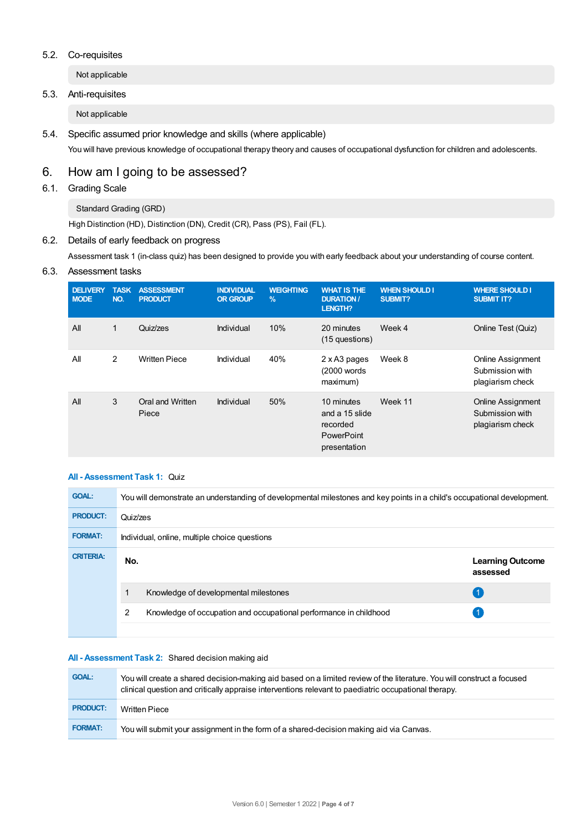#### 5.2. Co-requisites

Not applicable

#### 5.3. Anti-requisites

Not applicable

5.4. Specific assumed prior knowledge and skills (where applicable) You will have previous knowledge of occupational therapy theory and causes of occupational dysfunction for children and adolescents.

# 6. How am Igoing to be assessed?

## 6.1. Grading Scale

Standard Grading (GRD)

High Distinction (HD), Distinction (DN), Credit (CR), Pass (PS), Fail (FL).

## 6.2. Details of early feedback on progress

Assessment task 1 (in-class quiz) has been designed to provide you with early feedback about your understanding of course content.

#### 6.3. Assessment tasks

| <b>DELIVERY</b><br><b>MODE</b> | <b>TASK</b><br>NO. | <b>ASSESSMENT</b><br><b>PRODUCT</b> | <b>INDIVIDUAL</b><br><b>OR GROUP</b> | <b>WEIGHTING</b><br>$\%$ | <b>WHAT IS THE</b><br><b>DURATION /</b><br>LENGTH?                            | <b>WHEN SHOULD I</b><br>SUBMIT? | <b>WHERE SHOULD I</b><br><b>SUBMIT IT?</b>                      |
|--------------------------------|--------------------|-------------------------------------|--------------------------------------|--------------------------|-------------------------------------------------------------------------------|---------------------------------|-----------------------------------------------------------------|
| All                            | 1                  | Quiz/zes                            | Individual                           | 10%                      | 20 minutes<br>(15 questions)                                                  | Week 4                          | Online Test (Quiz)                                              |
| All                            | 2                  | <b>Written Piece</b>                | Individual                           | 40%                      | 2 x A3 pages<br>(2000 words)<br>maximum)                                      | Week 8                          | Online Assignment<br>Submission with<br>plagiarism check        |
| All                            | 3                  | Oral and Written<br>Piece           | Individual                           | 50%                      | 10 minutes<br>and a 15 slide<br>recorded<br><b>PowerPoint</b><br>presentation | Week 11                         | <b>Online Assignment</b><br>Submission with<br>plagiarism check |

#### **All - Assessment Task 1:** Quiz

| <b>GOAL:</b>     | You will demonstrate an understanding of developmental milestones and key points in a child's occupational development. |                                     |  |  |
|------------------|-------------------------------------------------------------------------------------------------------------------------|-------------------------------------|--|--|
| <b>PRODUCT:</b>  | Quiz/zes                                                                                                                |                                     |  |  |
| <b>FORMAT:</b>   | Individual, online, multiple choice questions                                                                           |                                     |  |  |
| <b>CRITERIA:</b> | No.                                                                                                                     | <b>Learning Outcome</b><br>assessed |  |  |
|                  | Knowledge of developmental milestones                                                                                   |                                     |  |  |
|                  | $\overline{2}$<br>Knowledge of occupation and occupational performance in childhood                                     |                                     |  |  |
|                  |                                                                                                                         |                                     |  |  |

#### **All - Assessment Task 2:** Shared decision making aid

| <b>GOAL:</b>    | You will create a shared decision-making aid based on a limited review of the literature. You will construct a focused<br>clinical question and critically appraise interventions relevant to paediatric occupational therapy. |
|-----------------|--------------------------------------------------------------------------------------------------------------------------------------------------------------------------------------------------------------------------------|
| <b>PRODUCT:</b> | <b>Written Piece</b>                                                                                                                                                                                                           |
| <b>FORMAT:</b>  | You will submit your assignment in the form of a shared-decision making aid via Canvas.                                                                                                                                        |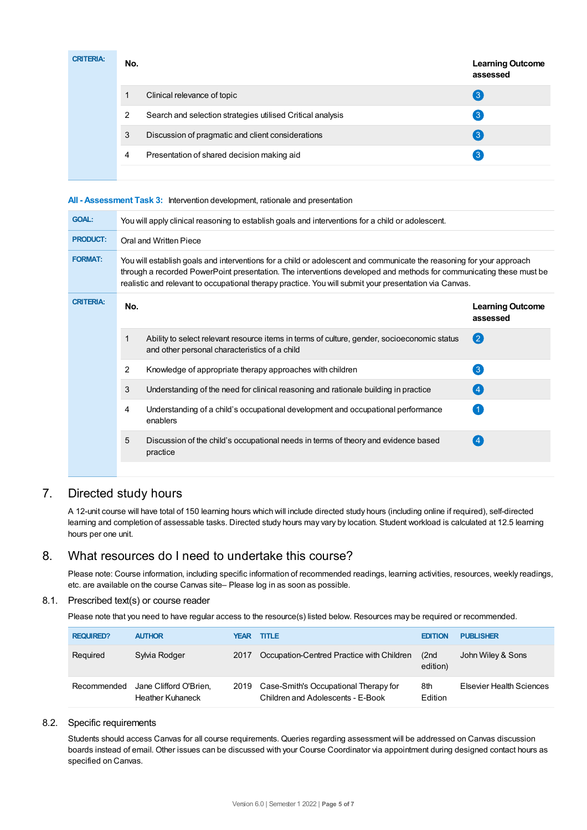| <b>CRITERIA:</b> | No. |                                                            | <b>Learning Outcome</b><br>assessed |
|------------------|-----|------------------------------------------------------------|-------------------------------------|
|                  |     | Clinical relevance of topic                                | $\mathbf{3}$                        |
|                  | 2   | Search and selection strategies utilised Critical analysis | 3                                   |
|                  | 3   | Discussion of pragmatic and client considerations          | ြ3 !                                |
|                  | 4   | Presentation of shared decision making aid                 | 3                                   |
|                  |     |                                                            |                                     |

#### **All - Assessment Task 3:** Intervention development, rationale and presentation

| <b>GOAL:</b>     | You will apply clinical reasoning to establish goals and interventions for a child or adolescent.                                                                                                                                                                                                                                                     |                                                                                                                                              |                                     |  |  |
|------------------|-------------------------------------------------------------------------------------------------------------------------------------------------------------------------------------------------------------------------------------------------------------------------------------------------------------------------------------------------------|----------------------------------------------------------------------------------------------------------------------------------------------|-------------------------------------|--|--|
| <b>PRODUCT:</b>  | Oral and Written Piece                                                                                                                                                                                                                                                                                                                                |                                                                                                                                              |                                     |  |  |
| <b>FORMAT:</b>   | You will establish goals and interventions for a child or adolescent and communicate the reasoning for your approach<br>through a recorded PowerPoint presentation. The interventions developed and methods for communicating these must be<br>realistic and relevant to occupational therapy practice. You will submit your presentation via Canvas. |                                                                                                                                              |                                     |  |  |
| <b>CRITERIA:</b> | No.                                                                                                                                                                                                                                                                                                                                                   |                                                                                                                                              | <b>Learning Outcome</b><br>assessed |  |  |
|                  | 1                                                                                                                                                                                                                                                                                                                                                     | Ability to select relevant resource items in terms of culture, gender, socioeconomic status<br>and other personal characteristics of a child | $\mathbf{\Omega}$                   |  |  |
|                  | 2                                                                                                                                                                                                                                                                                                                                                     | Knowledge of appropriate therapy approaches with children                                                                                    | $\left(3\right)$                    |  |  |
|                  | 3                                                                                                                                                                                                                                                                                                                                                     | Understanding of the need for clinical reasoning and rationale building in practice                                                          | (4)                                 |  |  |
|                  | 4                                                                                                                                                                                                                                                                                                                                                     | Understanding of a child's occupational development and occupational performance<br>enablers                                                 |                                     |  |  |
|                  | 5                                                                                                                                                                                                                                                                                                                                                     | Discussion of the child's occupational needs in terms of theory and evidence based<br>practice                                               | $\overline{4}$                      |  |  |
|                  |                                                                                                                                                                                                                                                                                                                                                       |                                                                                                                                              |                                     |  |  |

# 7. Directed study hours

A 12-unit course will have total of 150 learning hours which will include directed study hours (including online if required), self-directed learning and completion of assessable tasks. Directed study hours may vary by location. Student workload is calculated at 12.5 learning hours per one unit.

## 8. What resources do I need to undertake this course?

Please note: Course information, including specific information of recommended readings, learning activities, resources, weekly readings, etc. are available on the course Canvas site– Please log in as soon as possible.

#### 8.1. Prescribed text(s) or course reader

Please note that you need to have regular access to the resource(s) listed below. Resources may be required or recommended.

| <b>REQUIRED?</b> | <b>AUTHOR</b>                                     | YEAR | <b>TITLE</b>                                                                    | <b>EDITION</b>    | <b>PUBLISHER</b>         |
|------------------|---------------------------------------------------|------|---------------------------------------------------------------------------------|-------------------|--------------------------|
| Required         | Sylvia Rodger                                     | 2017 | Occupation-Centred Practice with Children                                       | (2nd)<br>edition) | John Wiley & Sons        |
| Recommended      | Jane Clifford O'Brien.<br><b>Heather Kuhaneck</b> |      | 2019 Case-Smith's Occupational Therapy for<br>Children and Adolescents - E-Book | 8th<br>Edition    | Elsevier Health Sciences |

#### 8.2. Specific requirements

Students should access Canvas for all course requirements. Queries regarding assessment will be addressed on Canvas discussion boards instead of email. Other issues can be discussed with your Course Coordinator via appointment during designed contact hours as specified on Canvas.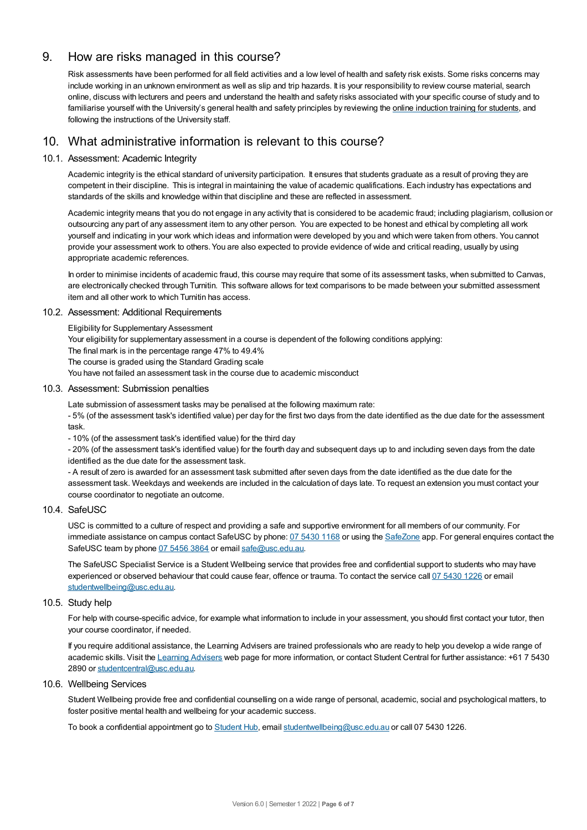## 9. How are risks managed in this course?

Risk assessments have been performed for all field activities and a low level of health and safety risk exists. Some risks concerns may include working in an unknown environment as well as slip and trip hazards. It is your responsibility to review course material, search online, discuss with lecturers and peers and understand the health and safety risks associated with your specific course of study and to familiarise yourself with the University's general health and safety principles by reviewing the online [induction](https://online.usc.edu.au/webapps/blackboard/content/listContentEditable.jsp?content_id=_632657_1&course_id=_14432_1) training for students, and following the instructions of the University staff.

# 10. What administrative information is relevant to this course?

#### 10.1. Assessment: Academic Integrity

Academic integrity is the ethical standard of university participation. It ensures that students graduate as a result of proving they are competent in their discipline. This is integral in maintaining the value of academic qualifications. Each industry has expectations and standards of the skills and knowledge within that discipline and these are reflected in assessment.

Academic integrity means that you do not engage in any activity that is considered to be academic fraud; including plagiarism, collusion or outsourcing any part of any assessment item to any other person. You are expected to be honest and ethical by completing all work yourself and indicating in your work which ideas and information were developed by you and which were taken from others. You cannot provide your assessment work to others.You are also expected to provide evidence of wide and critical reading, usually by using appropriate academic references.

In order to minimise incidents of academic fraud, this course may require that some of its assessment tasks, when submitted to Canvas, are electronically checked through Turnitin. This software allows for text comparisons to be made between your submitted assessment item and all other work to which Turnitin has access.

#### 10.2. Assessment: Additional Requirements

Eligibility for Supplementary Assessment

Your eligibility for supplementary assessment in a course is dependent of the following conditions applying:

The final mark is in the percentage range 47% to 49.4%

The course is graded using the Standard Grading scale

You have not failed an assessment task in the course due to academic misconduct

#### 10.3. Assessment: Submission penalties

Late submission of assessment tasks may be penalised at the following maximum rate:

- 5% (of the assessment task's identified value) per day for the first two days from the date identified as the due date for the assessment task.

- 10% (of the assessment task's identified value) for the third day

- 20% (of the assessment task's identified value) for the fourth day and subsequent days up to and including seven days from the date identified as the due date for the assessment task.

- A result of zero is awarded for an assessment task submitted after seven days from the date identified as the due date for the assessment task. Weekdays and weekends are included in the calculation of days late. To request an extension you must contact your course coordinator to negotiate an outcome.

#### 10.4. SafeUSC

USC is committed to a culture of respect and providing a safe and supportive environment for all members of our community. For immediate assistance on campus contact SafeUSC by phone: 07 [5430](tel:07%205430%201168) 1168 or using the [SafeZone](https://www.safezoneapp.com) app. For general enquires contact the SafeUSC team by phone 07 [5456](tel:07%205456%203864) 3864 or email [safe@usc.edu.au](mailto:safe@usc.edu.au).

The SafeUSC Specialist Service is a Student Wellbeing service that provides free and confidential support to students who may have experienced or observed behaviour that could cause fear, offence or trauma. To contact the service call 07 [5430](tel:07%205430%201226) 1226 or email [studentwellbeing@usc.edu.au](mailto:studentwellbeing@usc.edu.au).

#### 10.5. Study help

For help with course-specific advice, for example what information to include in your assessment, you should first contact your tutor, then your course coordinator, if needed.

If you require additional assistance, the Learning Advisers are trained professionals who are ready to help you develop a wide range of academic skills. Visit the Learning [Advisers](https://www.usc.edu.au/current-students/student-support/academic-and-study-support/learning-advisers) web page for more information, or contact Student Central for further assistance: +61 7 5430 2890 or [studentcentral@usc.edu.au](mailto:studentcentral@usc.edu.au).

#### 10.6. Wellbeing Services

Student Wellbeing provide free and confidential counselling on a wide range of personal, academic, social and psychological matters, to foster positive mental health and wellbeing for your academic success.

To book a confidential appointment go to [Student](https://studenthub.usc.edu.au/) Hub, email [studentwellbeing@usc.edu.au](mailto:studentwellbeing@usc.edu.au) or call 07 5430 1226.